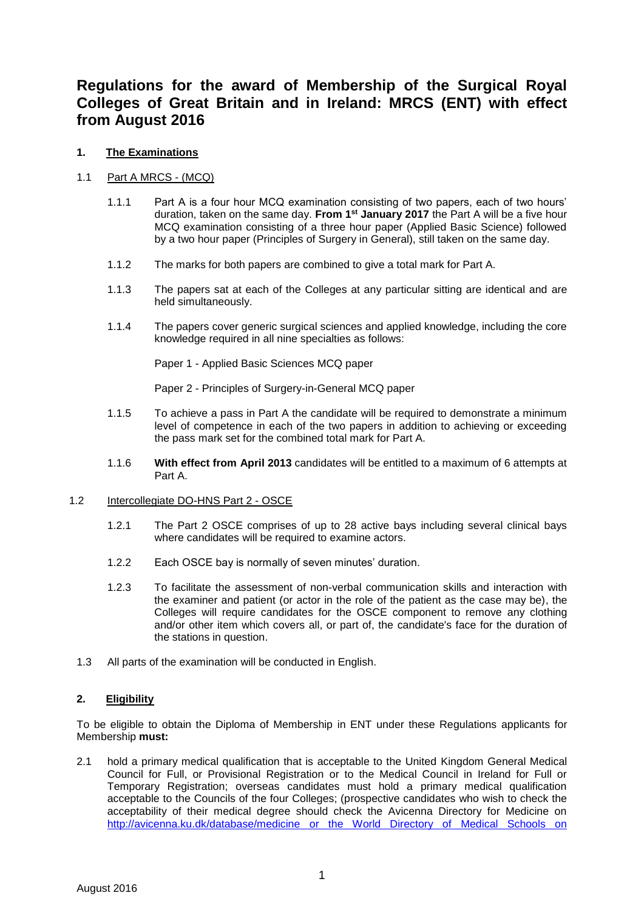# **Regulations for the award of Membership of the Surgical Royal Colleges of Great Britain and in Ireland: MRCS (ENT) with effect from August 2016**

## **1. The Examinations**

# 1.1 Part A MRCS - (MCQ)

- 1.1.1 Part A is a four hour MCQ examination consisting of two papers, each of two hours' duration, taken on the same day. **From 1st January 2017** the Part A will be a five hour MCQ examination consisting of a three hour paper (Applied Basic Science) followed by a two hour paper (Principles of Surgery in General), still taken on the same day.
- 1.1.2 The marks for both papers are combined to give a total mark for Part A.
- 1.1.3 The papers sat at each of the Colleges at any particular sitting are identical and are held simultaneously.
- 1.1.4 The papers cover generic surgical sciences and applied knowledge, including the core knowledge required in all nine specialties as follows:

Paper 1 - Applied Basic Sciences MCQ paper

Paper 2 - Principles of Surgery-in-General MCQ paper

- 1.1.5 To achieve a pass in Part A the candidate will be required to demonstrate a minimum level of competence in each of the two papers in addition to achieving or exceeding the pass mark set for the combined total mark for Part A.
- 1.1.6 **With effect from April 2013** candidates will be entitled to a maximum of 6 attempts at Part A.

## 1.2 Intercollegiate DO-HNS Part 2 - OSCE

- 1.2.1 The Part 2 OSCE comprises of up to 28 active bays including several clinical bays where candidates will be required to examine actors.
- 1.2.2 Each OSCE bay is normally of seven minutes' duration.
- 1.2.3 To facilitate the assessment of non-verbal communication skills and interaction with the examiner and patient (or actor in the role of the patient as the case may be), the Colleges will require candidates for the OSCE component to remove any clothing and/or other item which covers all, or part of, the candidate's face for the duration of the stations in question.
- 1.3 All parts of the examination will be conducted in English.

## **2. Eligibility**

To be eligible to obtain the Diploma of Membership in ENT under these Regulations applicants for Membership **must:**

2.1 hold a primary medical qualification that is acceptable to the United Kingdom General Medical Council for Full, or Provisional Registration or to the Medical Council in Ireland for Full or Temporary Registration; overseas candidates must hold a primary medical qualification acceptable to the Councils of the four Colleges; (prospective candidates who wish to check the acceptability of their medical degree should check the Avicenna Directory for Medicine on <http://avicenna.ku.dk/database/medicine> or the World Directory of Medical Schools on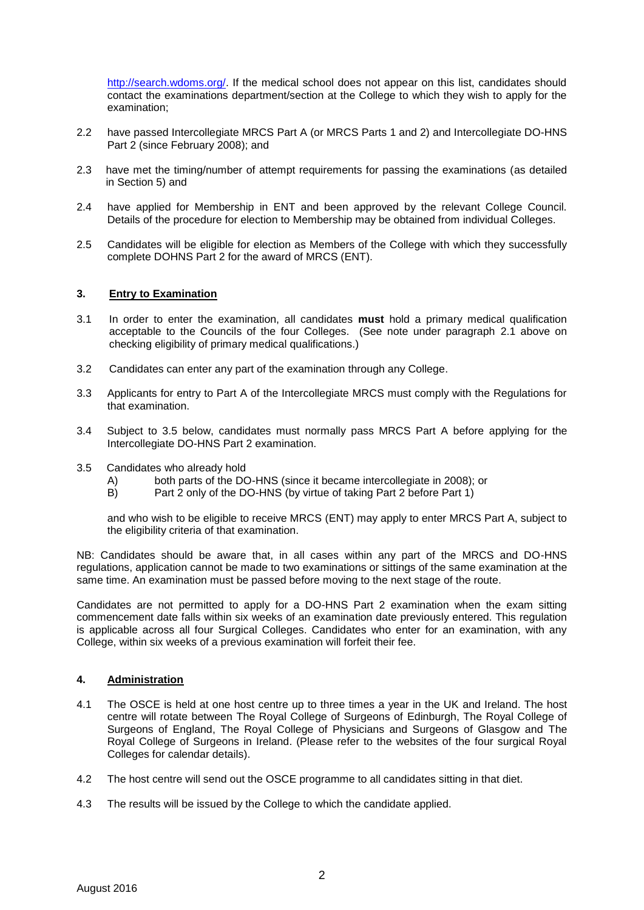http://search.wdoms.org/. If the medical school does not appear on this list, candidates should contact the examinations department/section at the College to which they wish to apply for the examination;

- 2.2 have passed Intercollegiate MRCS Part A (or MRCS Parts 1 and 2) and Intercollegiate DO-HNS Part 2 (since February 2008); and
- 2.3 have met the timing/number of attempt requirements for passing the examinations (as detailed in Section 5) and
- 2.4 have applied for Membership in ENT and been approved by the relevant College Council. Details of the procedure for election to Membership may be obtained from individual Colleges.
- 2.5 Candidates will be eligible for election as Members of the College with which they successfully complete DOHNS Part 2 for the award of MRCS (ENT).

#### **3. Entry to Examination**

- 3.1 In order to enter the examination, all candidates **must** hold a primary medical qualification acceptable to the Councils of the four Colleges. (See note under paragraph 2.1 above on checking eligibility of primary medical qualifications.)
- 3.2 Candidates can enter any part of the examination through any College.
- 3.3 Applicants for entry to Part A of the Intercollegiate MRCS must comply with the Regulations for that examination.
- 3.4 Subject to 3.5 below, candidates must normally pass MRCS Part A before applying for the Intercollegiate DO-HNS Part 2 examination.
- 3.5 Candidates who already hold
	- A) both parts of the DO-HNS (since it became intercollegiate in 2008); or B) Part 2 only of the DO-HNS (by virtue of taking Part 2 before Part 1)
	- Part 2 only of the DO-HNS (by virtue of taking Part 2 before Part 1)

and who wish to be eligible to receive MRCS (ENT) may apply to enter MRCS Part A, subject to the eligibility criteria of that examination.

NB: Candidates should be aware that, in all cases within any part of the MRCS and DO-HNS regulations, application cannot be made to two examinations or sittings of the same examination at the same time. An examination must be passed before moving to the next stage of the route.

Candidates are not permitted to apply for a DO-HNS Part 2 examination when the exam sitting commencement date falls within six weeks of an examination date previously entered. This regulation is applicable across all four Surgical Colleges. Candidates who enter for an examination, with any College, within six weeks of a previous examination will forfeit their fee.

#### **4. Administration**

- 4.1 The OSCE is held at one host centre up to three times a year in the UK and Ireland. The host centre will rotate between The Royal College of Surgeons of Edinburgh, The Royal College of Surgeons of England, The Royal College of Physicians and Surgeons of Glasgow and The Royal College of Surgeons in Ireland. (Please refer to the websites of the four surgical Royal Colleges for calendar details).
- 4.2 The host centre will send out the OSCE programme to all candidates sitting in that diet.
- 4.3 The results will be issued by the College to which the candidate applied.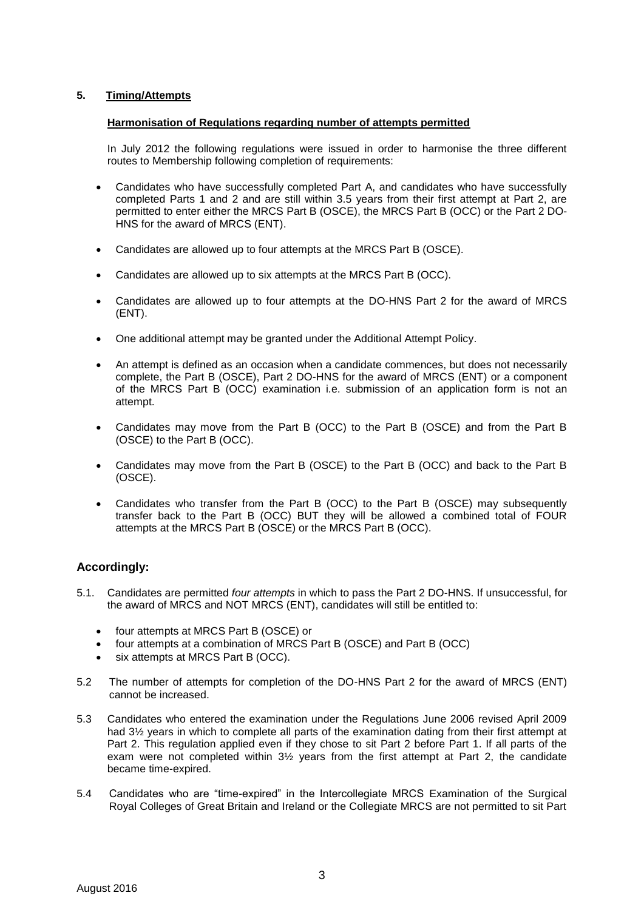# **5. Timing/Attempts**

## **Harmonisation of Regulations regarding number of attempts permitted**

In July 2012 the following regulations were issued in order to harmonise the three different routes to Membership following completion of requirements:

- Candidates who have successfully completed Part A, and candidates who have successfully completed Parts 1 and 2 and are still within 3.5 years from their first attempt at Part 2, are permitted to enter either the MRCS Part B (OSCE), the MRCS Part B (OCC) or the Part 2 DO-HNS for the award of MRCS (ENT).
- Candidates are allowed up to four attempts at the MRCS Part B (OSCE).
- Candidates are allowed up to six attempts at the MRCS Part B (OCC).
- Candidates are allowed up to four attempts at the DO-HNS Part 2 for the award of MRCS (ENT).
- One additional attempt may be granted under the Additional Attempt Policy.
- An attempt is defined as an occasion when a candidate commences, but does not necessarily complete, the Part B (OSCE), Part 2 DO-HNS for the award of MRCS (ENT) or a component of the MRCS Part B (OCC) examination i.e. submission of an application form is not an attempt.
- Candidates may move from the Part B (OCC) to the Part B (OSCE) and from the Part B (OSCE) to the Part B (OCC).
- Candidates may move from the Part B (OSCE) to the Part B (OCC) and back to the Part B (OSCE).
- Candidates who transfer from the Part B (OCC) to the Part B (OSCE) may subsequently transfer back to the Part B (OCC) BUT they will be allowed a combined total of FOUR attempts at the MRCS Part B (OSCE) or the MRCS Part B (OCC).

# **Accordingly:**

- 5.1. Candidates are permitted *four attempts* in which to pass the Part 2 DO-HNS. If unsuccessful, for the award of MRCS and NOT MRCS (ENT), candidates will still be entitled to:
	- four attempts at MRCS Part B (OSCE) or
	- four attempts at a combination of MRCS Part B (OSCE) and Part B (OCC)
	- six attempts at MRCS Part B (OCC).
- 5.2 The number of attempts for completion of the DO-HNS Part 2 for the award of MRCS (ENT) cannot be increased.
- 5.3 Candidates who entered the examination under the Regulations June 2006 revised April 2009 had  $3\frac{1}{2}$  years in which to complete all parts of the examination dating from their first attempt at Part 2. This regulation applied even if they chose to sit Part 2 before Part 1. If all parts of the exam were not completed within  $3\frac{1}{2}$  years from the first attempt at Part 2, the candidate became time-expired.
- 5.4 Candidates who are "time-expired" in the Intercollegiate MRCS Examination of the Surgical Royal Colleges of Great Britain and Ireland or the Collegiate MRCS are not permitted to sit Part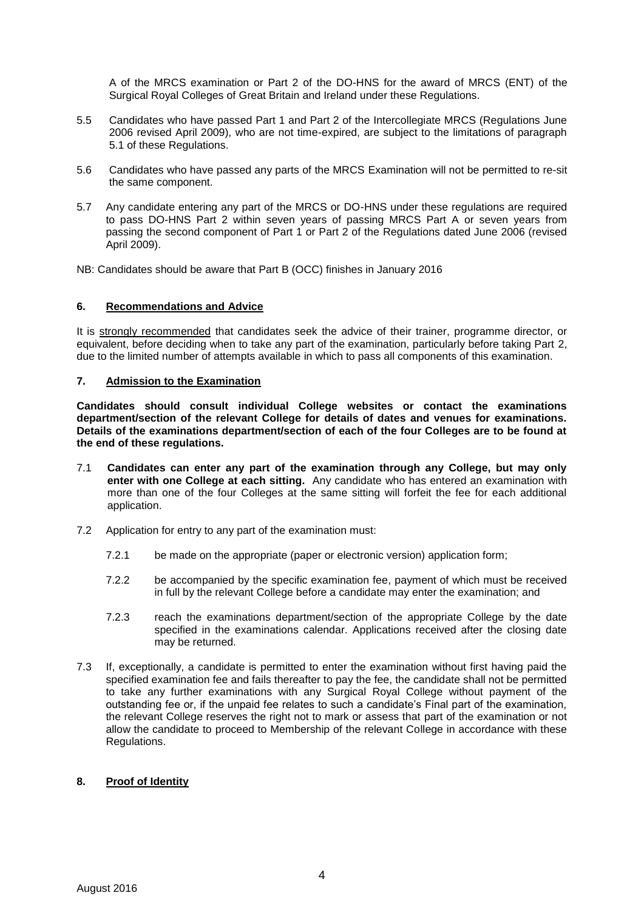A of the MRCS examination or Part 2 of the DO-HNS for the award of MRCS (ENT) of the Surgical Royal Colleges of Great Britain and Ireland under these Regulations.

- 5.5 Candidates who have passed Part 1 and Part 2 of the Intercollegiate MRCS (Regulations June 2006 revised April 2009), who are not time-expired, are subject to the limitations of paragraph 5.1 of these Regulations.
- 5.6 Candidates who have passed any parts of the MRCS Examination will not be permitted to re-sit the same component.
- 5.7 Any candidate entering any part of the MRCS or DO-HNS under these regulations are required to pass DO-HNS Part 2 within seven years of passing MRCS Part A or seven years from passing the second component of Part 1 or Part 2 of the Regulations dated June 2006 (revised April 2009).

NB: Candidates should be aware that Part B (OCC) finishes in January 2016

## **6. Recommendations and Advice**

It is strongly recommended that candidates seek the advice of their trainer, programme director, or equivalent, before deciding when to take any part of the examination, particularly before taking Part 2, due to the limited number of attempts available in which to pass all components of this examination.

#### **7. Admission to the Examination**

**Candidates should consult individual College websites or contact the examinations department/section of the relevant College for details of dates and venues for examinations. Details of the examinations department/section of each of the four Colleges are to be found at the end of these regulations.**

- 7.1 **Candidates can enter any part of the examination through any College, but may only enter with one College at each sitting.** Any candidate who has entered an examination with more than one of the four Colleges at the same sitting will forfeit the fee for each additional application.
- 7.2 Application for entry to any part of the examination must:
	- 7.2.1 be made on the appropriate (paper or electronic version) application form;
	- 7.2.2 be accompanied by the specific examination fee, payment of which must be received in full by the relevant College before a candidate may enter the examination; and
	- 7.2.3 reach the examinations department/section of the appropriate College by the date specified in the examinations calendar. Applications received after the closing date may be returned.
- 7.3 If, exceptionally, a candidate is permitted to enter the examination without first having paid the specified examination fee and fails thereafter to pay the fee, the candidate shall not be permitted to take any further examinations with any Surgical Royal College without payment of the outstanding fee or, if the unpaid fee relates to such a candidate's Final part of the examination, the relevant College reserves the right not to mark or assess that part of the examination or not allow the candidate to proceed to Membership of the relevant College in accordance with these Regulations.

## **8. Proof of Identity**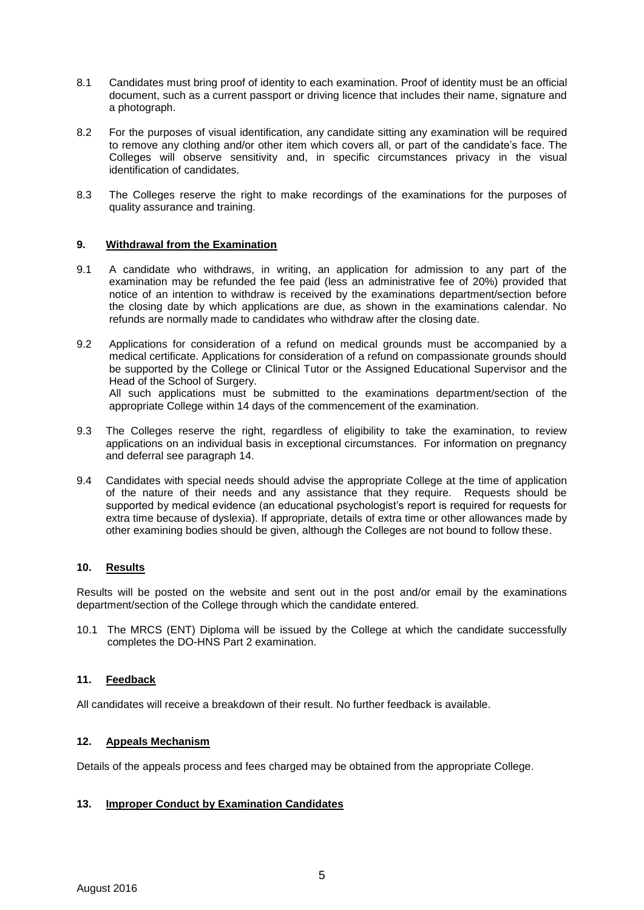- 8.1 Candidates must bring proof of identity to each examination. Proof of identity must be an official document, such as a current passport or driving licence that includes their name, signature and a photograph.
- 8.2 For the purposes of visual identification, any candidate sitting any examination will be required to remove any clothing and/or other item which covers all, or part of the candidate's face. The Colleges will observe sensitivity and, in specific circumstances privacy in the visual identification of candidates.
- 8.3 The Colleges reserve the right to make recordings of the examinations for the purposes of quality assurance and training.

#### **9. Withdrawal from the Examination**

- 9.1 A candidate who withdraws, in writing, an application for admission to any part of the examination may be refunded the fee paid (less an administrative fee of 20%) provided that notice of an intention to withdraw is received by the examinations department/section before the closing date by which applications are due, as shown in the examinations calendar. No refunds are normally made to candidates who withdraw after the closing date.
- 9.2 Applications for consideration of a refund on medical grounds must be accompanied by a medical certificate. Applications for consideration of a refund on compassionate grounds should be supported by the College or Clinical Tutor or the Assigned Educational Supervisor and the Head of the School of Surgery. All such applications must be submitted to the examinations department/section of the appropriate College within 14 days of the commencement of the examination.
- 9.3 The Colleges reserve the right, regardless of eligibility to take the examination, to review applications on an individual basis in exceptional circumstances. For information on pregnancy and deferral see paragraph 14.
- 9.4 Candidates with special needs should advise the appropriate College at the time of application of the nature of their needs and any assistance that they require. Requests should be supported by medical evidence (an educational psychologist's report is required for requests for extra time because of dyslexia). If appropriate, details of extra time or other allowances made by other examining bodies should be given, although the Colleges are not bound to follow these.

#### **10. Results**

Results will be posted on the website and sent out in the post and/or email by the examinations department/section of the College through which the candidate entered.

10.1 The MRCS (ENT) Diploma will be issued by the College at which the candidate successfully completes the DO-HNS Part 2 examination.

#### **11. Feedback**

All candidates will receive a breakdown of their result. No further feedback is available.

#### **12. Appeals Mechanism**

Details of the appeals process and fees charged may be obtained from the appropriate College.

## **13. Improper Conduct by Examination Candidates**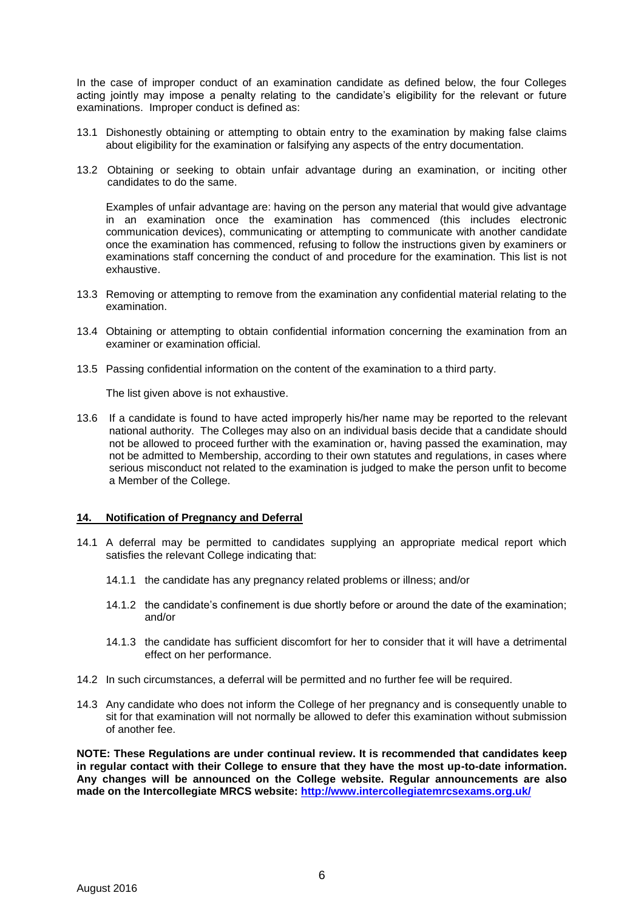In the case of improper conduct of an examination candidate as defined below, the four Colleges acting jointly may impose a penalty relating to the candidate's eligibility for the relevant or future examinations. Improper conduct is defined as:

- 13.1 Dishonestly obtaining or attempting to obtain entry to the examination by making false claims about eligibility for the examination or falsifying any aspects of the entry documentation.
- 13.2 Obtaining or seeking to obtain unfair advantage during an examination, or inciting other candidates to do the same.

Examples of unfair advantage are: having on the person any material that would give advantage in an examination once the examination has commenced (this includes electronic communication devices), communicating or attempting to communicate with another candidate once the examination has commenced, refusing to follow the instructions given by examiners or examinations staff concerning the conduct of and procedure for the examination. This list is not exhaustive.

- 13.3 Removing or attempting to remove from the examination any confidential material relating to the examination.
- 13.4 Obtaining or attempting to obtain confidential information concerning the examination from an examiner or examination official.
- 13.5 Passing confidential information on the content of the examination to a third party.

The list given above is not exhaustive.

13.6 If a candidate is found to have acted improperly his/her name may be reported to the relevant national authority. The Colleges may also on an individual basis decide that a candidate should not be allowed to proceed further with the examination or, having passed the examination, may not be admitted to Membership, according to their own statutes and regulations, in cases where serious misconduct not related to the examination is judged to make the person unfit to become a Member of the College.

#### **14. Notification of Pregnancy and Deferral**

- 14.1 A deferral may be permitted to candidates supplying an appropriate medical report which satisfies the relevant College indicating that:
	- 14.1.1 the candidate has any pregnancy related problems or illness; and/or
	- 14.1.2 the candidate's confinement is due shortly before or around the date of the examination; and/or
	- 14.1.3 the candidate has sufficient discomfort for her to consider that it will have a detrimental effect on her performance.
- 14.2 In such circumstances, a deferral will be permitted and no further fee will be required.
- 14.3 Any candidate who does not inform the College of her pregnancy and is consequently unable to sit for that examination will not normally be allowed to defer this examination without submission of another fee.

**NOTE: These Regulations are under continual review. It is recommended that candidates keep in regular contact with their College to ensure that they have the most up-to-date information. Any changes will be announced on the College website. Regular announcements are also made on the Intercollegiate MRCS website:<http://www.intercollegiatemrcsexams.org.uk/>**